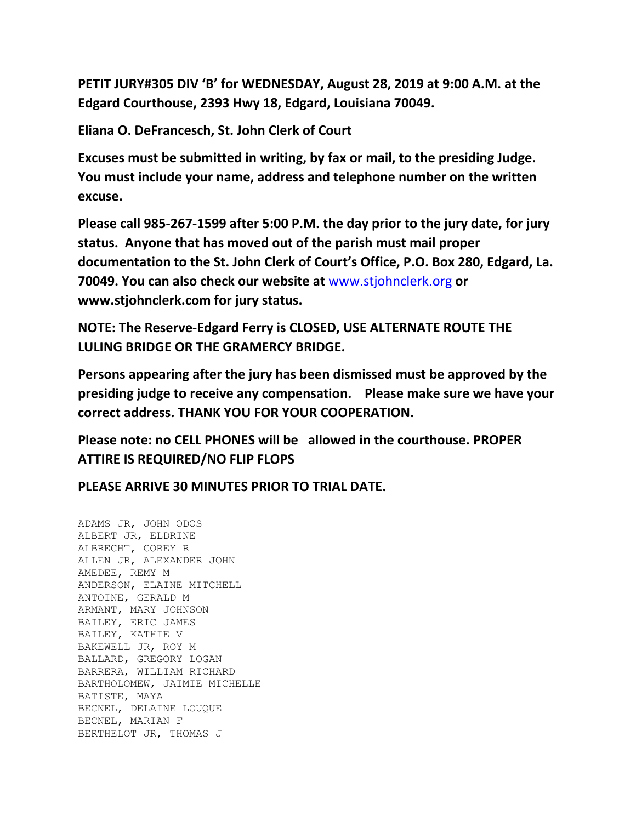**PETIT JURY#305 DIV 'B' for WEDNESDAY, August 28, 2019 at 9:00 A.M. at the Edgard Courthouse, 2393 Hwy 18, Edgard, Louisiana 70049.**

**Eliana O. DeFrancesch, St. John Clerk of Court**

**Excuses must be submitted in writing, by fax or mail, to the presiding Judge. You must include your name, address and telephone number on the written excuse.**

**Please call 985-267-1599 after 5:00 P.M. the day prior to the jury date, for jury status. Anyone that has moved out of the parish must mail proper documentation to the St. John Clerk of Court's Office, P.O. Box 280, Edgard, La. 70049. You can also check our website at** [www.stjohnclerk.org](http://www.stjohnclerk.org/) **or www.stjohnclerk.com for jury status.**

**NOTE: The Reserve-Edgard Ferry is CLOSED, USE ALTERNATE ROUTE THE LULING BRIDGE OR THE GRAMERCY BRIDGE.**

**Persons appearing after the jury has been dismissed must be approved by the presiding judge to receive any compensation. Please make sure we have your correct address. THANK YOU FOR YOUR COOPERATION.**

**Please note: no CELL PHONES will be allowed in the courthouse. PROPER ATTIRE IS REQUIRED/NO FLIP FLOPS**

**PLEASE ARRIVE 30 MINUTES PRIOR TO TRIAL DATE.**

ADAMS JR, JOHN ODOS ALBERT JR, ELDRINE ALBRECHT, COREY R ALLEN JR, ALEXANDER JOHN AMEDEE, REMY M ANDERSON, ELAINE MITCHELL ANTOINE, GERALD M ARMANT, MARY JOHNSON BAILEY, ERIC JAMES BAILEY, KATHIE V BAKEWELL JR, ROY M BALLARD, GREGORY LOGAN BARRERA, WILLIAM RICHARD BARTHOLOMEW, JAIMIE MICHELLE BATISTE, MAYA BECNEL, DELAINE LOUQUE BECNEL, MARIAN F BERTHELOT JR, THOMAS J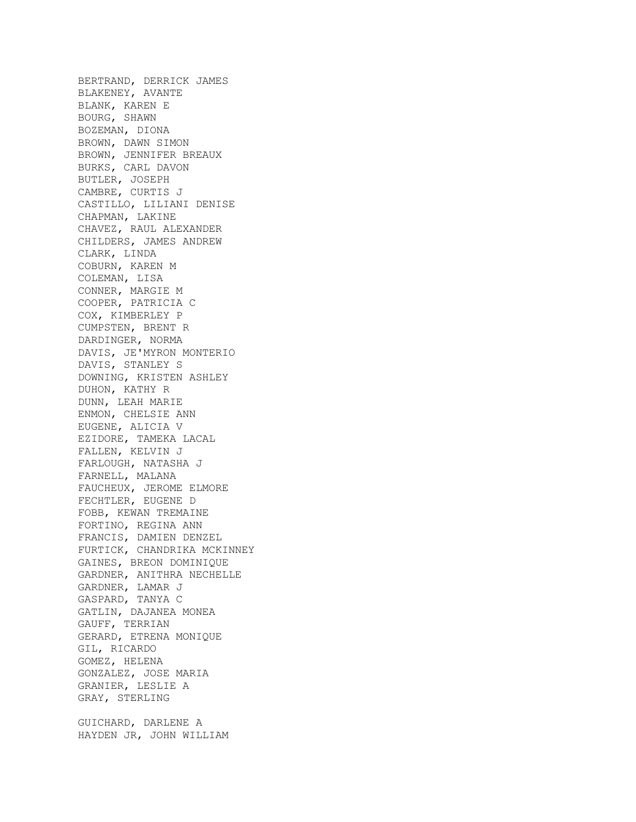BERTRAND, DERRICK JAMES BLAKENEY, AVANTE BLANK, KAREN E BOURG, SHAWN BOZEMAN, DIONA BROWN, DAWN SIMON BROWN, JENNIFER BREAUX BURKS, CARL DAVON BUTLER, JOSEPH CAMBRE, CURTIS J CASTILLO, LILIANI DENISE CHAPMAN, LAKINE CHAVEZ, RAUL ALEXANDER CHILDERS, JAMES ANDREW CLARK, LINDA COBURN, KAREN M COLEMAN, LISA CONNER, MARGIE M COOPER, PATRICIA C COX, KIMBERLEY P CUMPSTEN, BRENT R DARDINGER, NORMA DAVIS, JE'MYRON MONTERIO DAVIS, STANLEY S DOWNING, KRISTEN ASHLEY DUHON, KATHY R DUNN, LEAH MARIE ENMON, CHELSIE ANN EUGENE, ALICIA V EZIDORE, TAMEKA LACAL FALLEN, KELVIN J FARLOUGH, NATASHA J FARNELL, MALANA FAUCHEUX, JEROME ELMORE FECHTLER, EUGENE D FOBB, KEWAN TREMAINE FORTINO, REGINA ANN FRANCIS, DAMIEN DENZEL FURTICK, CHANDRIKA MCKINNEY GAINES, BREON DOMINIQUE GARDNER, ANITHRA NECHELLE GARDNER, LAMAR J GASPARD, TANYA C GATLIN, DAJANEA MONEA GAUFF, TERRIAN GERARD, ETRENA MONIQUE GIL, RICARDO GOMEZ, HELENA GONZALEZ, JOSE MARIA GRANIER, LESLIE A GRAY, STERLING GUICHARD, DARLENE A HAYDEN JR, JOHN WILLIAM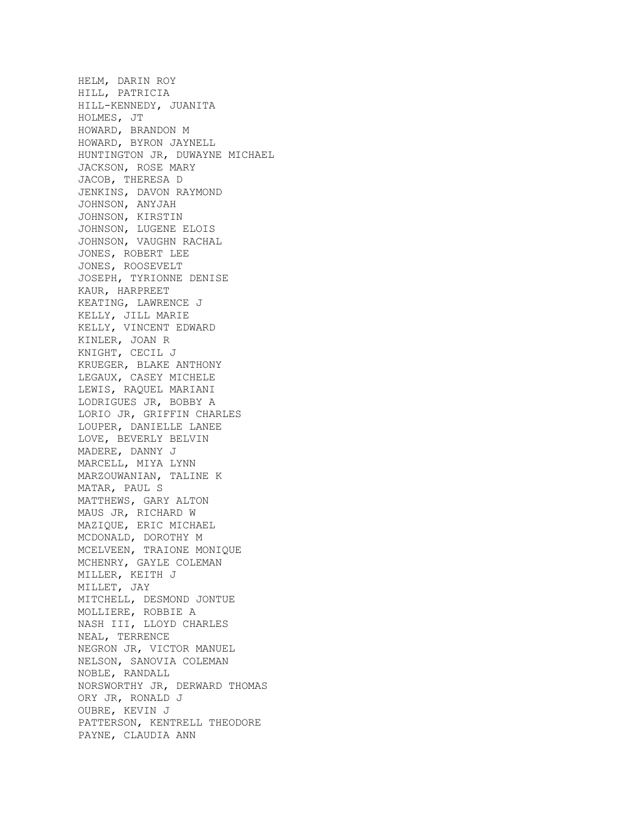HELM, DARIN ROY HILL, PATRICIA HILL-KENNEDY, JUANITA HOLMES, JT HOWARD, BRANDON M HOWARD, BYRON JAYNELL HUNTINGTON JR, DUWAYNE MICHAEL JACKSON, ROSE MARY JACOB, THERESA D JENKINS, DAVON RAYMOND JOHNSON, ANYJAH JOHNSON, KIRSTIN JOHNSON, LUGENE ELOIS JOHNSON, VAUGHN RACHAL JONES, ROBERT LEE JONES, ROOSEVELT JOSEPH, TYRIONNE DENISE KAUR, HARPREET KEATING, LAWRENCE J KELLY, JILL MARIE KELLY, VINCENT EDWARD KINLER, JOAN R KNIGHT, CECIL J KRUEGER, BLAKE ANTHONY LEGAUX, CASEY MICHELE LEWIS, RAQUEL MARIANI LODRIGUES JR, BOBBY A LORIO JR, GRIFFIN CHARLES LOUPER, DANIELLE LANEE LOVE, BEVERLY BELVIN MADERE, DANNY J MARCELL, MIYA LYNN MARZOUWANIAN, TALINE K MATAR, PAUL S MATTHEWS, GARY ALTON MAUS JR, RICHARD W MAZIQUE, ERIC MICHAEL MCDONALD, DOROTHY M MCELVEEN, TRAIONE MONIQUE MCHENRY, GAYLE COLEMAN MILLER, KEITH J MILLET, JAY MITCHELL, DESMOND JONTUE MOLLIERE, ROBBIE A NASH III, LLOYD CHARLES NEAL, TERRENCE NEGRON JR, VICTOR MANUEL NELSON, SANOVIA COLEMAN NOBLE, RANDALL NORSWORTHY JR, DERWARD THOMAS ORY JR, RONALD J OUBRE, KEVIN J PATTERSON, KENTRELL THEODORE PAYNE, CLAUDIA ANN